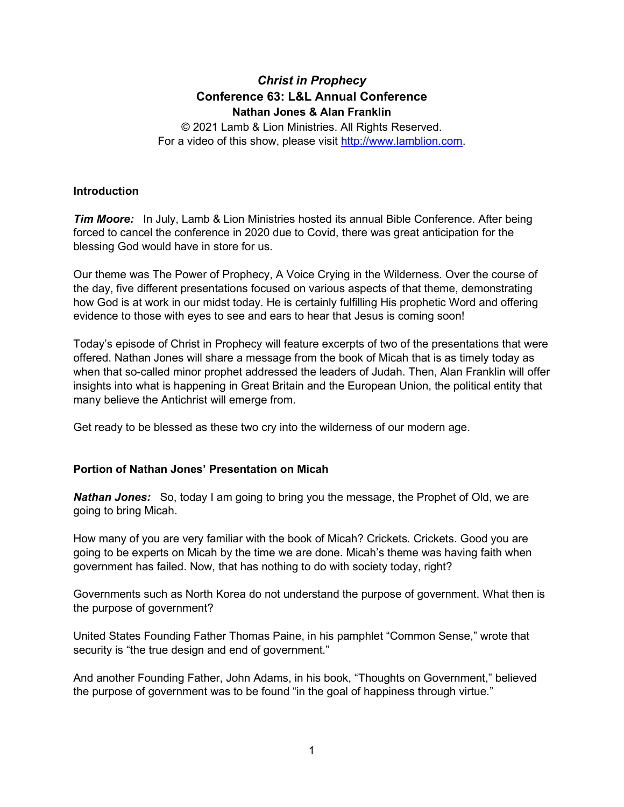# *Christ in Prophecy* **Conference 63: L&L Annual Conference Nathan Jones & Alan Franklin**

© 2021 Lamb & Lion Ministries. All Rights Reserved. For a video of this show, please visit [http://www.lamblion.com.](http://www.lamblion.com/)

# **Introduction**

*Tim Moore:* In July, Lamb & Lion Ministries hosted its annual Bible Conference. After being forced to cancel the conference in 2020 due to Covid, there was great anticipation for the blessing God would have in store for us.

Our theme was The Power of Prophecy, A Voice Crying in the Wilderness. Over the course of the day, five different presentations focused on various aspects of that theme, demonstrating how God is at work in our midst today. He is certainly fulfilling His prophetic Word and offering evidence to those with eyes to see and ears to hear that Jesus is coming soon!

Today's episode of Christ in Prophecy will feature excerpts of two of the presentations that were offered. Nathan Jones will share a message from the book of Micah that is as timely today as when that so-called minor prophet addressed the leaders of Judah. Then, Alan Franklin will offer insights into what is happening in Great Britain and the European Union, the political entity that many believe the Antichrist will emerge from.

Get ready to be blessed as these two cry into the wilderness of our modern age.

# **Portion of Nathan Jones' Presentation on Micah**

**Nathan Jones:** So, today I am going to bring you the message, the Prophet of Old, we are going to bring Micah.

How many of you are very familiar with the book of Micah? Crickets. Crickets. Good you are going to be experts on Micah by the time we are done. Micah's theme was having faith when government has failed. Now, that has nothing to do with society today, right?

Governments such as North Korea do not understand the purpose of government. What then is the purpose of government?

United States Founding Father Thomas Paine, in his pamphlet "Common Sense," wrote that security is "the true design and end of government."

And another Founding Father, John Adams, in his book, "Thoughts on Government," believed the purpose of government was to be found "in the goal of happiness through virtue."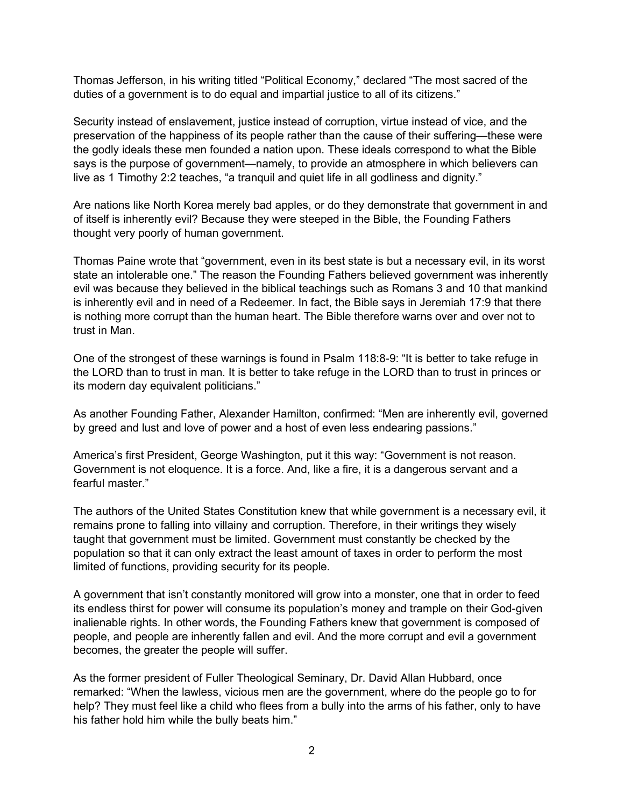Thomas Jefferson, in his writing titled "Political Economy," declared "The most sacred of the duties of a government is to do equal and impartial justice to all of its citizens."

Security instead of enslavement, justice instead of corruption, virtue instead of vice, and the preservation of the happiness of its people rather than the cause of their suffering—these were the godly ideals these men founded a nation upon. These ideals correspond to what the Bible says is the purpose of government—namely, to provide an atmosphere in which believers can live as 1 Timothy 2:2 teaches, "a tranquil and quiet life in all godliness and dignity."

Are nations like North Korea merely bad apples, or do they demonstrate that government in and of itself is inherently evil? Because they were steeped in the Bible, the Founding Fathers thought very poorly of human government.

Thomas Paine wrote that "government, even in its best state is but a necessary evil, in its worst state an intolerable one." The reason the Founding Fathers believed government was inherently evil was because they believed in the biblical teachings such as Romans 3 and 10 that mankind is inherently evil and in need of a Redeemer. In fact, the Bible says in Jeremiah 17:9 that there is nothing more corrupt than the human heart. The Bible therefore warns over and over not to trust in Man.

One of the strongest of these warnings is found in Psalm 118:8-9: "It is better to take refuge in the LORD than to trust in man. It is better to take refuge in the LORD than to trust in princes or its modern day equivalent politicians."

As another Founding Father, Alexander Hamilton, confirmed: "Men are inherently evil, governed by greed and lust and love of power and a host of even less endearing passions."

America's first President, George Washington, put it this way: "Government is not reason. Government is not eloquence. It is a force. And, like a fire, it is a dangerous servant and a fearful master."

The authors of the United States Constitution knew that while government is a necessary evil, it remains prone to falling into villainy and corruption. Therefore, in their writings they wisely taught that government must be limited. Government must constantly be checked by the population so that it can only extract the least amount of taxes in order to perform the most limited of functions, providing security for its people.

A government that isn't constantly monitored will grow into a monster, one that in order to feed its endless thirst for power will consume its population's money and trample on their God-given inalienable rights. In other words, the Founding Fathers knew that government is composed of people, and people are inherently fallen and evil. And the more corrupt and evil a government becomes, the greater the people will suffer.

As the former president of Fuller Theological Seminary, Dr. David Allan Hubbard, once remarked: "When the lawless, vicious men are the government, where do the people go to for help? They must feel like a child who flees from a bully into the arms of his father, only to have his father hold him while the bully beats him."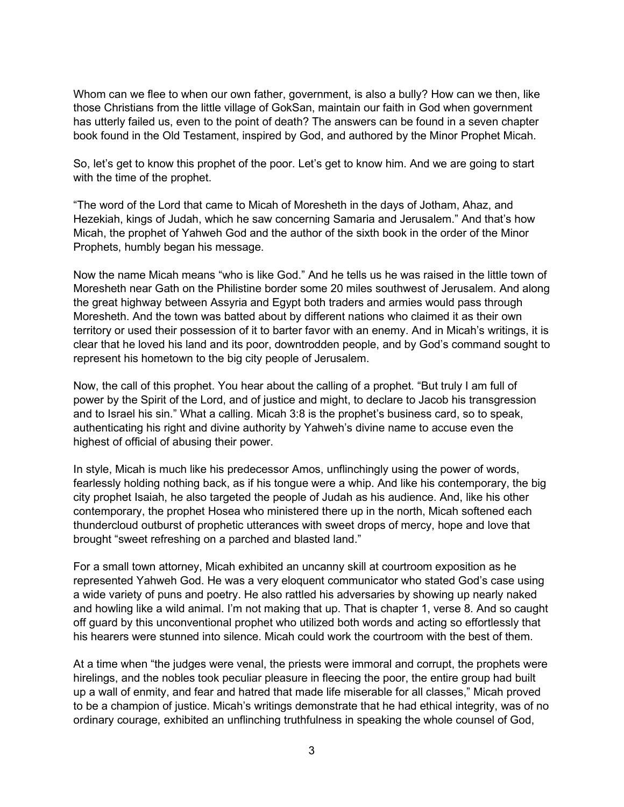Whom can we flee to when our own father, government, is also a bully? How can we then, like those Christians from the little village of GokSan, maintain our faith in God when government has utterly failed us, even to the point of death? The answers can be found in a seven chapter book found in the Old Testament, inspired by God, and authored by the Minor Prophet Micah.

So, let's get to know this prophet of the poor. Let's get to know him. And we are going to start with the time of the prophet.

"The word of the Lord that came to Micah of Moresheth in the days of Jotham, Ahaz, and Hezekiah, kings of Judah, which he saw concerning Samaria and Jerusalem." And that's how Micah, the prophet of Yahweh God and the author of the sixth book in the order of the Minor Prophets, humbly began his message.

Now the name Micah means "who is like God." And he tells us he was raised in the little town of Moresheth near Gath on the Philistine border some 20 miles southwest of Jerusalem. And along the great highway between Assyria and Egypt both traders and armies would pass through Moresheth. And the town was batted about by different nations who claimed it as their own territory or used their possession of it to barter favor with an enemy. And in Micah's writings, it is clear that he loved his land and its poor, downtrodden people, and by God's command sought to represent his hometown to the big city people of Jerusalem.

Now, the call of this prophet. You hear about the calling of a prophet. "But truly I am full of power by the Spirit of the Lord, and of justice and might, to declare to Jacob his transgression and to Israel his sin." What a calling. Micah 3:8 is the prophet's business card, so to speak, authenticating his right and divine authority by Yahweh's divine name to accuse even the highest of official of abusing their power.

In style, Micah is much like his predecessor Amos, unflinchingly using the power of words, fearlessly holding nothing back, as if his tongue were a whip. And like his contemporary, the big city prophet Isaiah, he also targeted the people of Judah as his audience. And, like his other contemporary, the prophet Hosea who ministered there up in the north, Micah softened each thundercloud outburst of prophetic utterances with sweet drops of mercy, hope and love that brought "sweet refreshing on a parched and blasted land."

For a small town attorney, Micah exhibited an uncanny skill at courtroom exposition as he represented Yahweh God. He was a very eloquent communicator who stated God's case using a wide variety of puns and poetry. He also rattled his adversaries by showing up nearly naked and howling like a wild animal. I'm not making that up. That is chapter 1, verse 8. And so caught off guard by this unconventional prophet who utilized both words and acting so effortlessly that his hearers were stunned into silence. Micah could work the courtroom with the best of them.

At a time when "the judges were venal, the priests were immoral and corrupt, the prophets were hirelings, and the nobles took peculiar pleasure in fleecing the poor, the entire group had built up a wall of enmity, and fear and hatred that made life miserable for all classes," Micah proved to be a champion of justice. Micah's writings demonstrate that he had ethical integrity, was of no ordinary courage, exhibited an unflinching truthfulness in speaking the whole counsel of God,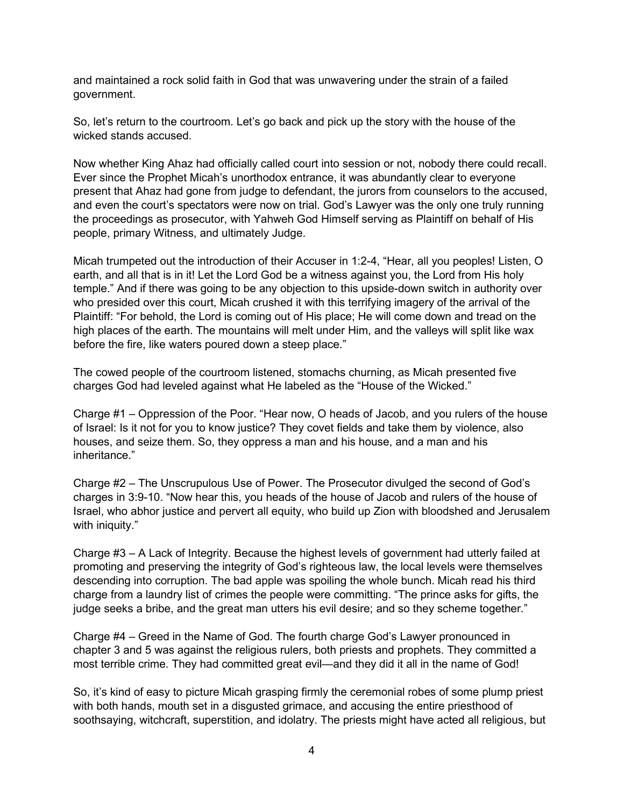and maintained a rock solid faith in God that was unwavering under the strain of a failed government.

So, let's return to the courtroom. Let's go back and pick up the story with the house of the wicked stands accused.

Now whether King Ahaz had officially called court into session or not, nobody there could recall. Ever since the Prophet Micah's unorthodox entrance, it was abundantly clear to everyone present that Ahaz had gone from judge to defendant, the jurors from counselors to the accused, and even the court's spectators were now on trial. God's Lawyer was the only one truly running the proceedings as prosecutor, with Yahweh God Himself serving as Plaintiff on behalf of His people, primary Witness, and ultimately Judge.

Micah trumpeted out the introduction of their Accuser in 1:2-4, "Hear, all you peoples! Listen, O earth, and all that is in it! Let the Lord God be a witness against you, the Lord from His holy temple." And if there was going to be any objection to this upside-down switch in authority over who presided over this court, Micah crushed it with this terrifying imagery of the arrival of the Plaintiff: "For behold, the Lord is coming out of His place; He will come down and tread on the high places of the earth. The mountains will melt under Him, and the valleys will split like wax before the fire, like waters poured down a steep place."

The cowed people of the courtroom listened, stomachs churning, as Micah presented five charges God had leveled against what He labeled as the "House of the Wicked."

Charge #1 – Oppression of the Poor. "Hear now, O heads of Jacob, and you rulers of the house of Israel: Is it not for you to know justice? They covet fields and take them by violence, also houses, and seize them. So, they oppress a man and his house, and a man and his inheritance."

Charge #2 – The Unscrupulous Use of Power. The Prosecutor divulged the second of God's charges in 3:9-10. "Now hear this, you heads of the house of Jacob and rulers of the house of Israel, who abhor justice and pervert all equity, who build up Zion with bloodshed and Jerusalem with iniquity."

Charge #3 – A Lack of Integrity. Because the highest levels of government had utterly failed at promoting and preserving the integrity of God's righteous law, the local levels were themselves descending into corruption. The bad apple was spoiling the whole bunch. Micah read his third charge from a laundry list of crimes the people were committing. "The prince asks for gifts, the judge seeks a bribe, and the great man utters his evil desire; and so they scheme together."

Charge #4 – Greed in the Name of God. The fourth charge God's Lawyer pronounced in chapter 3 and 5 was against the religious rulers, both priests and prophets. They committed a most terrible crime. They had committed great evil—and they did it all in the name of God!

So, it's kind of easy to picture Micah grasping firmly the ceremonial robes of some plump priest with both hands, mouth set in a disgusted grimace, and accusing the entire priesthood of soothsaying, witchcraft, superstition, and idolatry. The priests might have acted all religious, but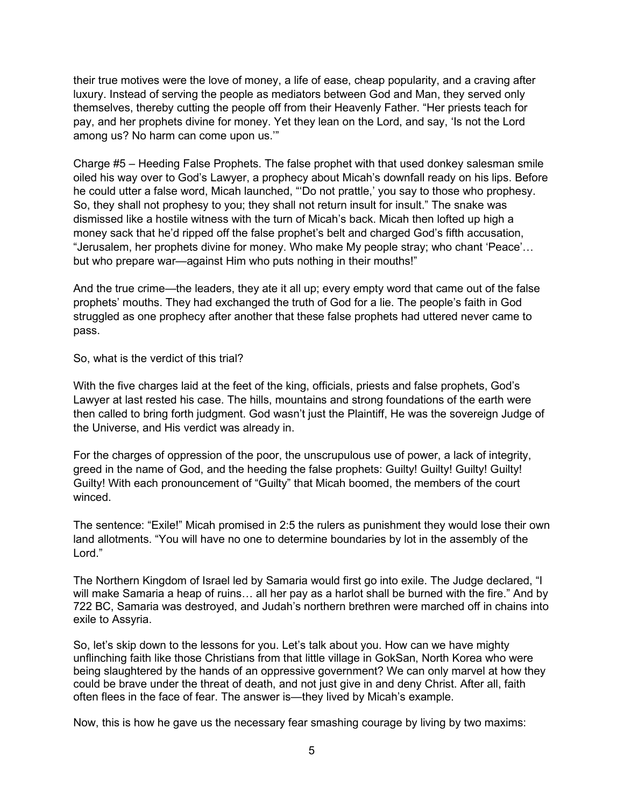their true motives were the love of money, a life of ease, cheap popularity, and a craving after luxury. Instead of serving the people as mediators between God and Man, they served only themselves, thereby cutting the people off from their Heavenly Father. "Her priests teach for pay, and her prophets divine for money. Yet they lean on the Lord, and say, 'Is not the Lord among us? No harm can come upon us.'"

Charge #5 – Heeding False Prophets. The false prophet with that used donkey salesman smile oiled his way over to God's Lawyer, a prophecy about Micah's downfall ready on his lips. Before he could utter a false word, Micah launched, "'Do not prattle,' you say to those who prophesy. So, they shall not prophesy to you; they shall not return insult for insult." The snake was dismissed like a hostile witness with the turn of Micah's back. Micah then lofted up high a money sack that he'd ripped off the false prophet's belt and charged God's fifth accusation, "Jerusalem, her prophets divine for money. Who make My people stray; who chant 'Peace'… but who prepare war—against Him who puts nothing in their mouths!"

And the true crime—the leaders, they ate it all up; every empty word that came out of the false prophets' mouths. They had exchanged the truth of God for a lie. The people's faith in God struggled as one prophecy after another that these false prophets had uttered never came to pass.

So, what is the verdict of this trial?

With the five charges laid at the feet of the king, officials, priests and false prophets, God's Lawyer at last rested his case. The hills, mountains and strong foundations of the earth were then called to bring forth judgment. God wasn't just the Plaintiff, He was the sovereign Judge of the Universe, and His verdict was already in.

For the charges of oppression of the poor, the unscrupulous use of power, a lack of integrity, greed in the name of God, and the heeding the false prophets: Guilty! Guilty! Guilty! Guilty! Guilty! With each pronouncement of "Guilty" that Micah boomed, the members of the court winced.

The sentence: "Exile!" Micah promised in 2:5 the rulers as punishment they would lose their own land allotments. "You will have no one to determine boundaries by lot in the assembly of the Lord."

The Northern Kingdom of Israel led by Samaria would first go into exile. The Judge declared, "I will make Samaria a heap of ruins… all her pay as a harlot shall be burned with the fire." And by 722 BC, Samaria was destroyed, and Judah's northern brethren were marched off in chains into exile to Assyria.

So, let's skip down to the lessons for you. Let's talk about you. How can we have mighty unflinching faith like those Christians from that little village in GokSan, North Korea who were being slaughtered by the hands of an oppressive government? We can only marvel at how they could be brave under the threat of death, and not just give in and deny Christ. After all, faith often flees in the face of fear. The answer is—they lived by Micah's example.

Now, this is how he gave us the necessary fear smashing courage by living by two maxims: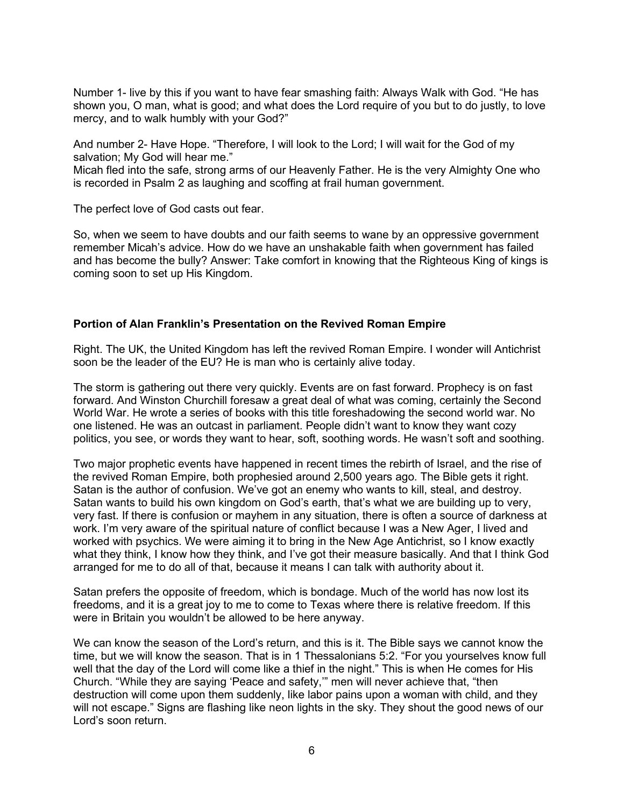Number 1- live by this if you want to have fear smashing faith: Always Walk with God. "He has shown you, O man, what is good; and what does the Lord require of you but to do justly, to love mercy, and to walk humbly with your God?"

And number 2- Have Hope. "Therefore, I will look to the Lord; I will wait for the God of my salvation; My God will hear me."

Micah fled into the safe, strong arms of our Heavenly Father. He is the very Almighty One who is recorded in Psalm 2 as laughing and scoffing at frail human government.

The perfect love of God casts out fear.

So, when we seem to have doubts and our faith seems to wane by an oppressive government remember Micah's advice. How do we have an unshakable faith when government has failed and has become the bully? Answer: Take comfort in knowing that the Righteous King of kings is coming soon to set up His Kingdom.

#### **Portion of Alan Franklin's Presentation on the Revived Roman Empire**

Right. The UK, the United Kingdom has left the revived Roman Empire. I wonder will Antichrist soon be the leader of the EU? He is man who is certainly alive today.

The storm is gathering out there very quickly. Events are on fast forward. Prophecy is on fast forward. And Winston Churchill foresaw a great deal of what was coming, certainly the Second World War. He wrote a series of books with this title foreshadowing the second world war. No one listened. He was an outcast in parliament. People didn't want to know they want cozy politics, you see, or words they want to hear, soft, soothing words. He wasn't soft and soothing.

Two major prophetic events have happened in recent times the rebirth of Israel, and the rise of the revived Roman Empire, both prophesied around 2,500 years ago. The Bible gets it right. Satan is the author of confusion. We've got an enemy who wants to kill, steal, and destroy. Satan wants to build his own kingdom on God's earth, that's what we are building up to very, very fast. If there is confusion or mayhem in any situation, there is often a source of darkness at work. I'm very aware of the spiritual nature of conflict because I was a New Ager, I lived and worked with psychics. We were aiming it to bring in the New Age Antichrist, so I know exactly what they think, I know how they think, and I've got their measure basically. And that I think God arranged for me to do all of that, because it means I can talk with authority about it.

Satan prefers the opposite of freedom, which is bondage. Much of the world has now lost its freedoms, and it is a great joy to me to come to Texas where there is relative freedom. If this were in Britain you wouldn't be allowed to be here anyway.

We can know the season of the Lord's return, and this is it. The Bible says we cannot know the time, but we will know the season. That is in 1 Thessalonians 5:2. "For you yourselves know full well that the day of the Lord will come like a thief in the night." This is when He comes for His Church. "While they are saying 'Peace and safety,'" men will never achieve that, "then destruction will come upon them suddenly, like labor pains upon a woman with child, and they will not escape." Signs are flashing like neon lights in the sky. They shout the good news of our Lord's soon return.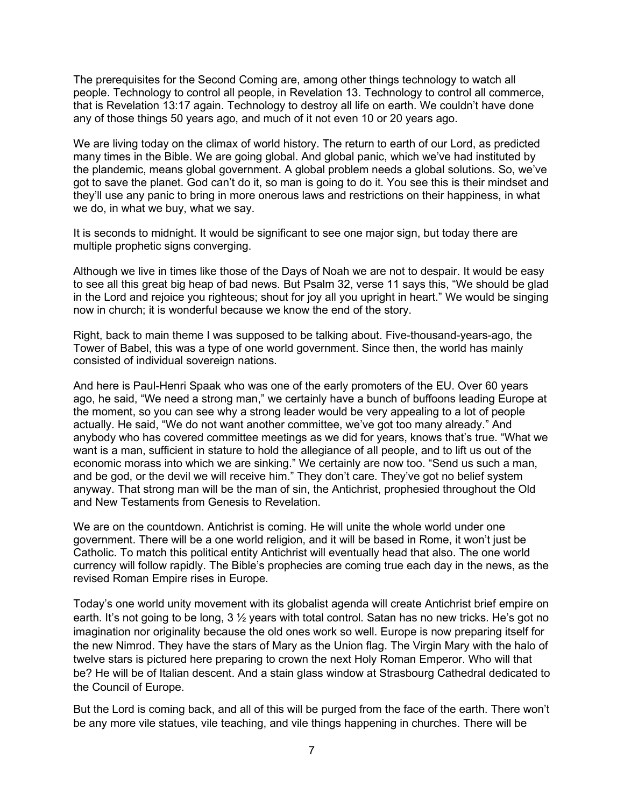The prerequisites for the Second Coming are, among other things technology to watch all people. Technology to control all people, in Revelation 13. Technology to control all commerce, that is Revelation 13:17 again. Technology to destroy all life on earth. We couldn't have done any of those things 50 years ago, and much of it not even 10 or 20 years ago.

We are living today on the climax of world history. The return to earth of our Lord, as predicted many times in the Bible. We are going global. And global panic, which we've had instituted by the plandemic, means global government. A global problem needs a global solutions. So, we've got to save the planet. God can't do it, so man is going to do it. You see this is their mindset and they'll use any panic to bring in more onerous laws and restrictions on their happiness, in what we do, in what we buy, what we say.

It is seconds to midnight. It would be significant to see one major sign, but today there are multiple prophetic signs converging.

Although we live in times like those of the Days of Noah we are not to despair. It would be easy to see all this great big heap of bad news. But Psalm 32, verse 11 says this, "We should be glad in the Lord and rejoice you righteous; shout for joy all you upright in heart." We would be singing now in church; it is wonderful because we know the end of the story.

Right, back to main theme I was supposed to be talking about. Five-thousand-years-ago, the Tower of Babel, this was a type of one world government. Since then, the world has mainly consisted of individual sovereign nations.

And here is Paul-Henri Spaak who was one of the early promoters of the EU. Over 60 years ago, he said, "We need a strong man," we certainly have a bunch of buffoons leading Europe at the moment, so you can see why a strong leader would be very appealing to a lot of people actually. He said, "We do not want another committee, we've got too many already." And anybody who has covered committee meetings as we did for years, knows that's true. "What we want is a man, sufficient in stature to hold the allegiance of all people, and to lift us out of the economic morass into which we are sinking." We certainly are now too. "Send us such a man, and be god, or the devil we will receive him." They don't care. They've got no belief system anyway. That strong man will be the man of sin, the Antichrist, prophesied throughout the Old and New Testaments from Genesis to Revelation.

We are on the countdown. Antichrist is coming. He will unite the whole world under one government. There will be a one world religion, and it will be based in Rome, it won't just be Catholic. To match this political entity Antichrist will eventually head that also. The one world currency will follow rapidly. The Bible's prophecies are coming true each day in the news, as the revised Roman Empire rises in Europe.

Today's one world unity movement with its globalist agenda will create Antichrist brief empire on earth. It's not going to be long, 3  $\frac{1}{2}$  years with total control. Satan has no new tricks. He's got no imagination nor originality because the old ones work so well. Europe is now preparing itself for the new Nimrod. They have the stars of Mary as the Union flag. The Virgin Mary with the halo of twelve stars is pictured here preparing to crown the next Holy Roman Emperor. Who will that be? He will be of Italian descent. And a stain glass window at Strasbourg Cathedral dedicated to the Council of Europe.

But the Lord is coming back, and all of this will be purged from the face of the earth. There won't be any more vile statues, vile teaching, and vile things happening in churches. There will be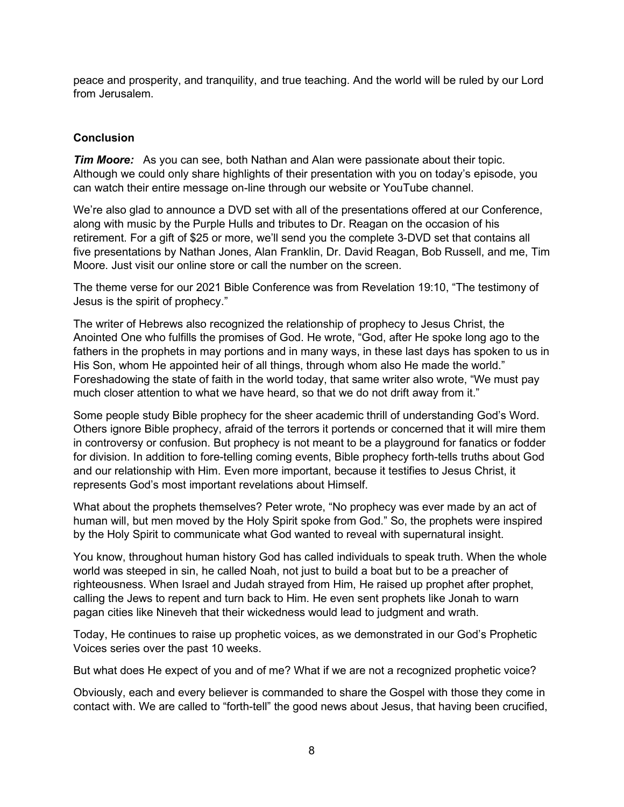peace and prosperity, and tranquility, and true teaching. And the world will be ruled by our Lord from Jerusalem.

# **Conclusion**

*Tim Moore:* As you can see, both Nathan and Alan were passionate about their topic. Although we could only share highlights of their presentation with you on today's episode, you can watch their entire message on-line through our website or YouTube channel.

We're also glad to announce a DVD set with all of the presentations offered at our Conference, along with music by the Purple Hulls and tributes to Dr. Reagan on the occasion of his retirement. For a gift of \$25 or more, we'll send you the complete 3-DVD set that contains all five presentations by Nathan Jones, Alan Franklin, Dr. David Reagan, Bob Russell, and me, Tim Moore. Just visit our online store or call the number on the screen.

The theme verse for our 2021 Bible Conference was from Revelation 19:10, "The testimony of Jesus is the spirit of prophecy."

The writer of Hebrews also recognized the relationship of prophecy to Jesus Christ, the Anointed One who fulfills the promises of God. He wrote, "God, after He spoke long ago to the fathers in the prophets in may portions and in many ways, in these last days has spoken to us in His Son, whom He appointed heir of all things, through whom also He made the world." Foreshadowing the state of faith in the world today, that same writer also wrote, "We must pay much closer attention to what we have heard, so that we do not drift away from it."

Some people study Bible prophecy for the sheer academic thrill of understanding God's Word. Others ignore Bible prophecy, afraid of the terrors it portends or concerned that it will mire them in controversy or confusion. But prophecy is not meant to be a playground for fanatics or fodder for division. In addition to fore-telling coming events, Bible prophecy forth-tells truths about God and our relationship with Him. Even more important, because it testifies to Jesus Christ, it represents God's most important revelations about Himself.

What about the prophets themselves? Peter wrote, "No prophecy was ever made by an act of human will, but men moved by the Holy Spirit spoke from God." So, the prophets were inspired by the Holy Spirit to communicate what God wanted to reveal with supernatural insight.

You know, throughout human history God has called individuals to speak truth. When the whole world was steeped in sin, he called Noah, not just to build a boat but to be a preacher of righteousness. When Israel and Judah strayed from Him, He raised up prophet after prophet, calling the Jews to repent and turn back to Him. He even sent prophets like Jonah to warn pagan cities like Nineveh that their wickedness would lead to judgment and wrath.

Today, He continues to raise up prophetic voices, as we demonstrated in our God's Prophetic Voices series over the past 10 weeks.

But what does He expect of you and of me? What if we are not a recognized prophetic voice?

Obviously, each and every believer is commanded to share the Gospel with those they come in contact with. We are called to "forth-tell" the good news about Jesus, that having been crucified,